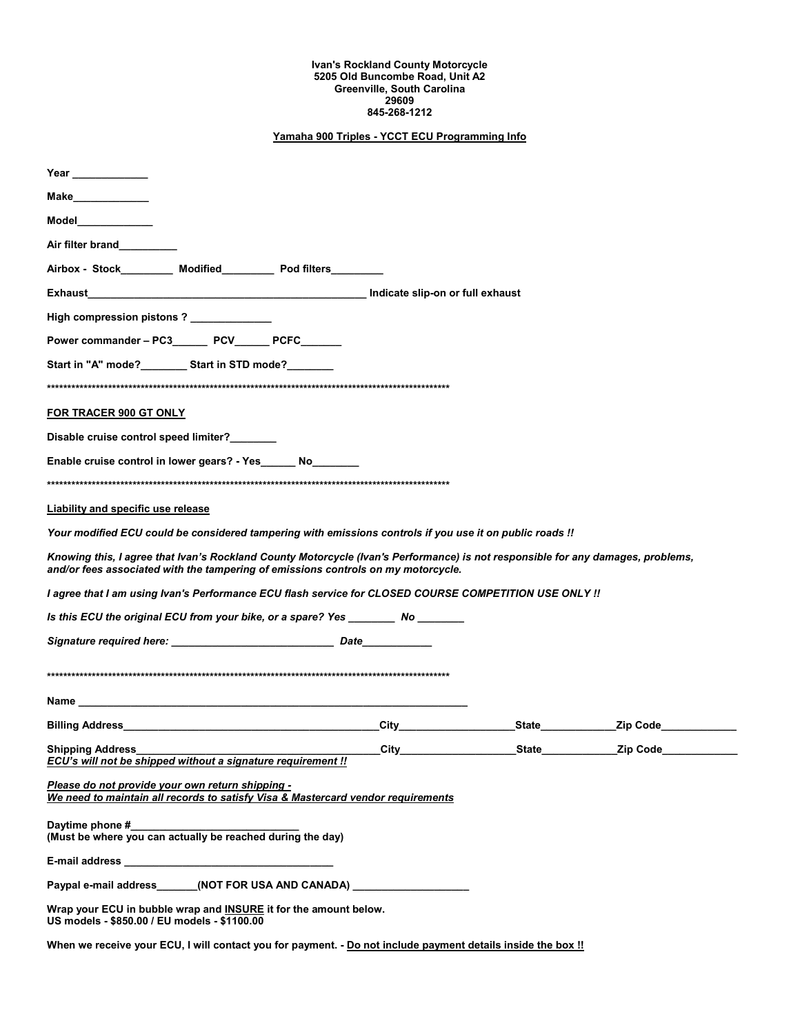## **Ivan's Rockland County Motorcycle 5205 Old Buncombe Road, Unit A2 Greenville, South Carolina 29609 845-268-1212**

## **Yamaha 900 Triples - YCCT ECU Programming Info**

| Year                                                                                                                                                                                                                           |  |  |                  |  |                |  |
|--------------------------------------------------------------------------------------------------------------------------------------------------------------------------------------------------------------------------------|--|--|------------------|--|----------------|--|
| Make______________                                                                                                                                                                                                             |  |  |                  |  |                |  |
| Model_____________                                                                                                                                                                                                             |  |  |                  |  |                |  |
| Air filter brand                                                                                                                                                                                                               |  |  |                  |  |                |  |
| Airbox - Stock________ Modified________ Pod filters________                                                                                                                                                                    |  |  |                  |  |                |  |
|                                                                                                                                                                                                                                |  |  |                  |  |                |  |
| High compression pistons ? _____________                                                                                                                                                                                       |  |  |                  |  |                |  |
| Power commander - PC3________ PCV_______ PCFC_______                                                                                                                                                                           |  |  |                  |  |                |  |
| Start in "A" mode?__________ Start in STD mode?________                                                                                                                                                                        |  |  |                  |  |                |  |
|                                                                                                                                                                                                                                |  |  |                  |  |                |  |
| FOR TRACER 900 GT ONLY                                                                                                                                                                                                         |  |  |                  |  |                |  |
| Disable cruise control speed limiter?                                                                                                                                                                                          |  |  |                  |  |                |  |
| Enable cruise control in lower gears? - Yes ______ No______                                                                                                                                                                    |  |  |                  |  |                |  |
|                                                                                                                                                                                                                                |  |  |                  |  |                |  |
| <b>Liability and specific use release</b>                                                                                                                                                                                      |  |  |                  |  |                |  |
| Your modified ECU could be considered tampering with emissions controls if you use it on public roads !!                                                                                                                       |  |  |                  |  |                |  |
| Knowing this, I agree that Ivan's Rockland County Motorcycle (Ivan's Performance) is not responsible for any damages, problems,<br>and/or fees associated with the tampering of emissions controls on my motorcycle.           |  |  |                  |  |                |  |
| I agree that I am using Ivan's Performance ECU flash service for CLOSED COURSE COMPETITION USE ONLY !!                                                                                                                         |  |  |                  |  |                |  |
| Is this ECU the original ECU from your bike, or a spare? Yes ________ No _______                                                                                                                                               |  |  |                  |  |                |  |
|                                                                                                                                                                                                                                |  |  |                  |  |                |  |
|                                                                                                                                                                                                                                |  |  |                  |  |                |  |
| Name and the contract of the contract of the contract of the contract of the contract of the contract of the contract of the contract of the contract of the contract of the contract of the contract of the contract of the c |  |  |                  |  |                |  |
| Billing Address Management and the Billing Address Management and the United States of the United States and the United States and the United States and the United States and the United States and the United States and the |  |  | <b>City City</b> |  | State Zip Code |  |
| <b>Shipping Address</b><br>ECU's will not be shipped without a signature requirement !!                                                                                                                                        |  |  | City             |  |                |  |
| Please do not provide your own return shipping -<br>We need to maintain all records to satisfy Visa & Mastercard vendor requirements                                                                                           |  |  |                  |  |                |  |
| Daytime phone #<br>(Must be where you can actually be reached during the day)                                                                                                                                                  |  |  |                  |  |                |  |
|                                                                                                                                                                                                                                |  |  |                  |  |                |  |
| Paypal e-mail address_______(NOT FOR USA AND CANADA) ___________________________                                                                                                                                               |  |  |                  |  |                |  |
| Wrap your ECU in bubble wrap and INSURE it for the amount below.<br>US models - \$850.00 / EU models - \$1100.00                                                                                                               |  |  |                  |  |                |  |
| When we receive your ECU, I will contact you for payment. - Do not include payment details inside the box !!                                                                                                                   |  |  |                  |  |                |  |